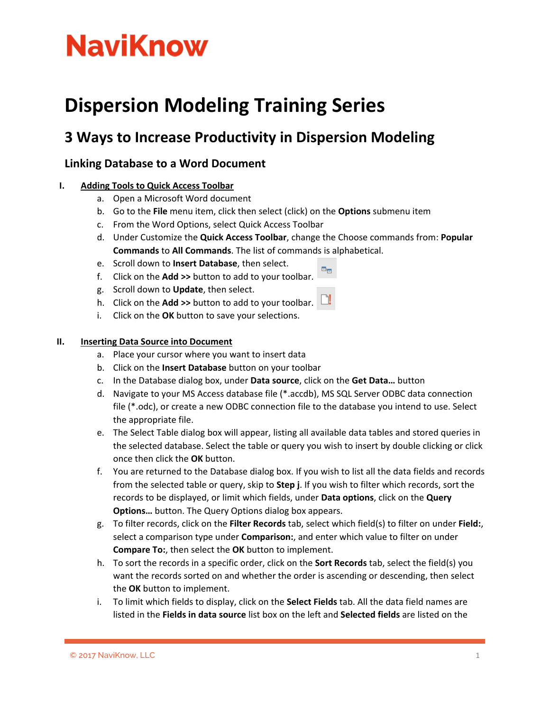# **NaviKnow**

### **Dispersion Modeling Training Series**

### **3 Ways to Increase Productivity in Dispersion Modeling**

#### **Linking Database to a Word Document**

#### **I. Adding Tools to Quick Access Toolbar**

- a. Open a Microsoft Word document
- b. Go to the **File** menu item, click then select (click) on the **Options** submenu item
- c. From the Word Options, select Quick Access Toolbar
- d. Under Customize the **Quick Access Toolbar**, change the Choose commands from: **Popular Commands** to **All Commands**. The list of commands is alphabetical.

oe.

- e. Scroll down to **Insert Database**, then select.
- f. Click on the **Add >>** button to add to your toolbar.
- g. Scroll down to **Update**, then select.
- h. Click on the **Add >>** button to add to your toolbar.
- i. Click on the **OK** button to save your selections.

#### **II. Inserting Data Source into Document**

- a. Place your cursor where you want to insert data
- b. Click on the **Insert Database** button on your toolbar
- c. In the Database dialog box, under **Data source**, click on the **Get Data…** button
- d. Navigate to your MS Access database file (\*.accdb), MS SQL Server ODBC data connection file (\*.odc), or create a new ODBC connection file to the database you intend to use. Select the appropriate file.
- e. The Select Table dialog box will appear, listing all available data tables and stored queries in the selected database. Select the table or query you wish to insert by double clicking or click once then click the **OK** button.
- f. You are returned to the Database dialog box. If you wish to list all the data fields and records from the selected table or query, skip to **Step j**. If you wish to filter which records, sort the records to be displayed, or limit which fields, under **Data options**, click on the **Query Options…** button. The Query Options dialog box appears.
- g. To filter records, click on the **Filter Records** tab, select which field(s) to filter on under **Field:**, select a comparison type under **Comparison:**, and enter which value to filter on under **Compare To:**, then select the **OK** button to implement.
- h. To sort the records in a specific order, click on the **Sort Records** tab, select the field(s) you want the records sorted on and whether the order is ascending or descending, then select the **OK** button to implement.
- i. To limit which fields to display, click on the **Select Fields** tab. All the data field names are listed in the **Fields in data source** list box on the left and **Selected fields** are listed on the